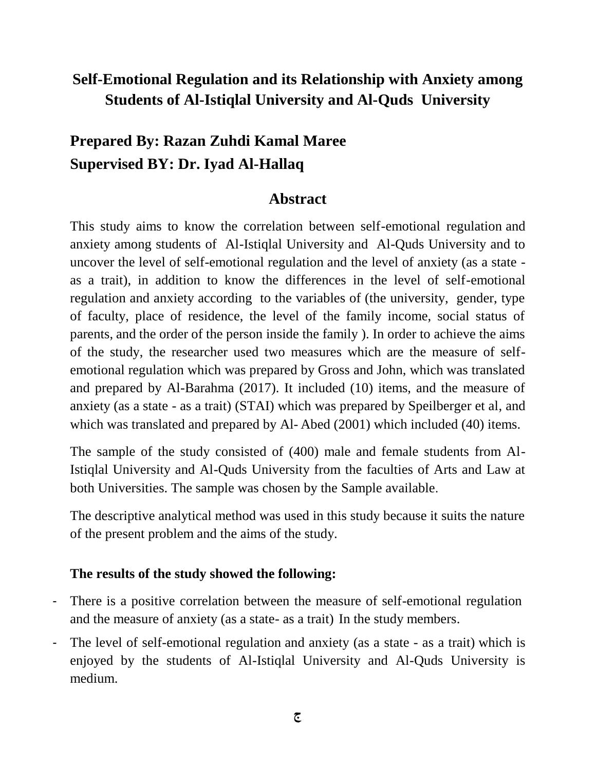## **Self-Emotional Regulation and its Relationship with Anxiety among Students of Al-Istiqlal University and Al-Quds University**

## **Prepared By: Razan Zuhdi Kamal Maree Supervised BY: Dr. Iyad Al-Hallaq**

## **Abstract**

This study aims to know the correlation between self-emotional regulation and anxiety among students of Al-Istiqlal University and Al-Quds University and to uncover the level of self-emotional regulation and the level of anxiety (as a state as a trait), in addition to know the differences in the level of self-emotional regulation and anxiety according to the variables of (the university, gender, type of faculty, place of residence, the level of the family income, social status of parents, and the order of the person inside the family ). In order to achieve the aims of the study, the researcher used two measures which are the measure of selfemotional regulation which was prepared by Gross and John, which was translated and prepared by Al-Barahma (2017). It included (10) items, and the measure of anxiety (as a state - as a trait) (STAI) which was prepared by Speilberger et al, and which was translated and prepared by Al-Abed (2001) which included (40) items.

The sample of the study consisted of (400) male and female students from Al-Istiqlal University and Al-Quds University from the faculties of Arts and Law at both Universities. The sample was chosen by the Sample available.

The descriptive analytical method was used in this study because it suits the nature of the present problem and the aims of the study.

## **The results of the study showed the following:**

- There is a positive correlation between the measure of self-emotional regulation and the measure of anxiety (as a state- as a trait) In the study members.
- The level of self-emotional regulation and anxiety (as a state as a trait) which is enjoyed by the students of Al-Istiqlal University and Al-Quds University is medium.